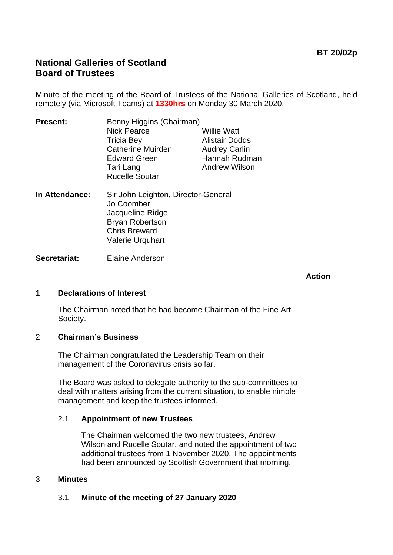# **National Galleries of Scotland Board of Trustees**

Minute of the meeting of the Board of Trustees of the National Galleries of Scotland, held remotely (via Microsoft Teams) at **1330hrs** on Monday 30 March 2020.

| <b>Present:</b> | Benny Higgins (Chairman) |                       |
|-----------------|--------------------------|-----------------------|
|                 | <b>Nick Pearce</b>       | <b>Willie Watt</b>    |
|                 | <b>Tricia Bey</b>        | <b>Alistair Dodds</b> |
|                 | <b>Catherine Muirden</b> | <b>Audrey Carlin</b>  |
|                 | <b>Edward Green</b>      | Hannah Rudman         |
|                 | Tari Lang                | <b>Andrew Wilson</b>  |
|                 | <b>Rucelle Soutar</b>    |                       |
|                 |                          |                       |

**In Attendance:** Sir John Leighton, Director-General Jo Coomber Jacqueline Ridge Bryan Robertson Chris Breward Valerie Urquhart

**Secretariat:** Elaine Anderson

 **Action**

## 1 **Declarations of Interest**

The Chairman noted that he had become Chairman of the Fine Art Society.

# 2 **Chairman's Business**

The Chairman congratulated the Leadership Team on their management of the Coronavirus crisis so far.

The Board was asked to delegate authority to the sub-committees to deal with matters arising from the current situation, to enable nimble management and keep the trustees informed.

#### 2.1 **Appointment of new Trustees**

The Chairman welcomed the two new trustees, Andrew Wilson and Rucelle Soutar, and noted the appointment of two additional trustees from 1 November 2020. The appointments had been announced by Scottish Government that morning.

#### 3 **Minutes**

3.1 **Minute of the meeting of 27 January 2020**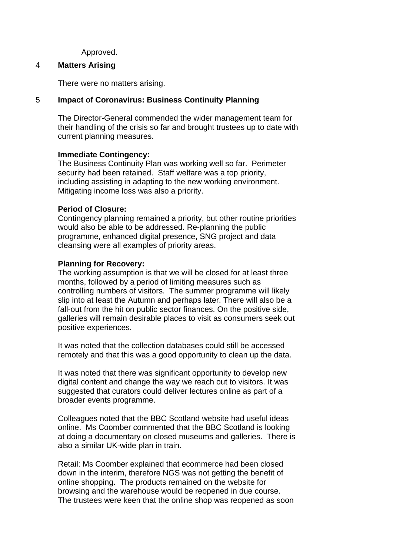Approved.

#### 4 **Matters Arising**

There were no matters arising.

# 5 **Impact of Coronavirus: Business Continuity Planning**

The Director-General commended the wider management team for their handling of the crisis so far and brought trustees up to date with current planning measures.

## **Immediate Contingency:**

The Business Continuity Plan was working well so far. Perimeter security had been retained. Staff welfare was a top priority, including assisting in adapting to the new working environment. Mitigating income loss was also a priority.

## **Period of Closure:**

Contingency planning remained a priority, but other routine priorities would also be able to be addressed. Re-planning the public programme, enhanced digital presence, SNG project and data cleansing were all examples of priority areas.

## **Planning for Recovery:**

The working assumption is that we will be closed for at least three months, followed by a period of limiting measures such as controlling numbers of visitors. The summer programme will likely slip into at least the Autumn and perhaps later. There will also be a fall-out from the hit on public sector finances. On the positive side, galleries will remain desirable places to visit as consumers seek out positive experiences.

It was noted that the collection databases could still be accessed remotely and that this was a good opportunity to clean up the data.

It was noted that there was significant opportunity to develop new digital content and change the way we reach out to visitors. It was suggested that curators could deliver lectures online as part of a broader events programme.

Colleagues noted that the BBC Scotland website had useful ideas online. Ms Coomber commented that the BBC Scotland is looking at doing a documentary on closed museums and galleries. There is also a similar UK-wide plan in train.

Retail: Ms Coomber explained that ecommerce had been closed down in the interim, therefore NGS was not getting the benefit of online shopping. The products remained on the website for browsing and the warehouse would be reopened in due course. The trustees were keen that the online shop was reopened as soon